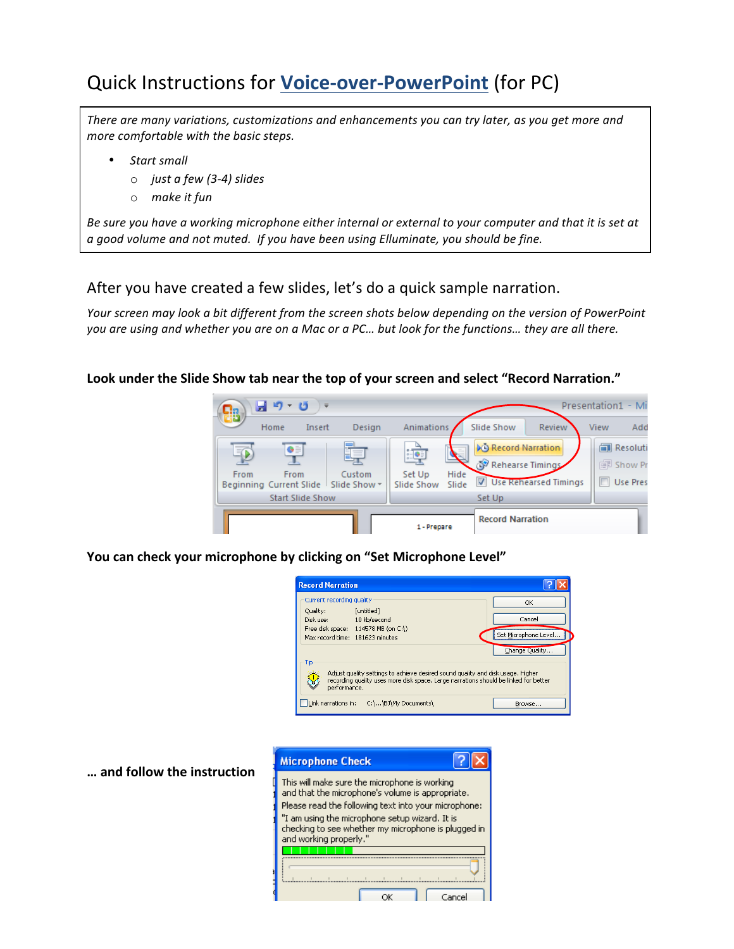# **Quick Instructions for Voice-over-PowerPoint (for PC)**

There are many variations, customizations and enhancements you can try later, as you get more and *more comfortable with the basic steps.* 

- *Start small*
	- o *just a few (3-4) slides*
	- o *make it fun*

Be sure you have a working microphone either internal or external to your computer and that it is set at *a* good volume and not muted. If you have been using Elluminate, you should be fine.

# After you have created a few slides, let's do a quick sample narration.

*Your screen may look a bit different from the screen shots below depending on the version of PowerPoint* you are using and whether you are on a Mac or a PC... but look for the functions... they are all there.

## Look under the Slide Show tab near the top of your screen and select "Record Narration."



You can check your microphone by clicking on "Set Microphone Level"

| <b>Record Narration</b>                                                                                                                                                                 |                      |
|-----------------------------------------------------------------------------------------------------------------------------------------------------------------------------------------|----------------------|
| Current recording quality<br>Ouality:<br>[untitled]                                                                                                                                     | OK                   |
| Disk use:<br>10 kb/second<br>Free disk space: 114578 MB (on C:\)                                                                                                                        | Cancel               |
| Max record time: 181623 minutes                                                                                                                                                         | Set Microphone Level |
| Tip                                                                                                                                                                                     | Change Quality       |
| Adjust quality settings to achieve desired sound quality and disk usage. Higher<br>recording quality uses more disk space. Large narrations should be linked for better<br>performance. |                      |
| Link narrations in: C:\\BJ\My Documents\                                                                                                                                                | Browse               |

| <b>Microphone Check</b>                                                                                                                                                                                                                                                                      |  |  |
|----------------------------------------------------------------------------------------------------------------------------------------------------------------------------------------------------------------------------------------------------------------------------------------------|--|--|
| This will make sure the microphone is working<br>and that the microphone's volume is appropriate.<br>Please read the following text into your microphone:<br>"I am using the microphone setup wizard. It is<br>checking to see whether my microphone is plugged in<br>and working properly." |  |  |
|                                                                                                                                                                                                                                                                                              |  |  |
|                                                                                                                                                                                                                                                                                              |  |  |
|                                                                                                                                                                                                                                                                                              |  |  |